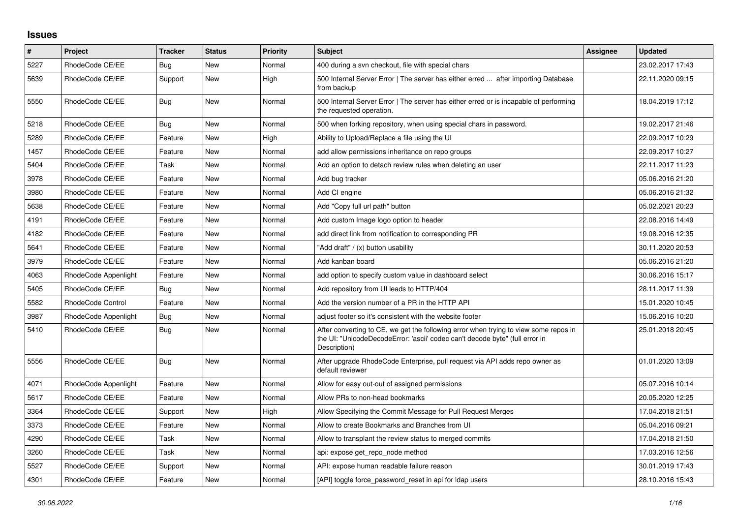## **Issues**

| $\pmb{\#}$ | <b>Project</b>           | <b>Tracker</b> | <b>Status</b> | <b>Priority</b> | Subject                                                                                                                                                                              | Assignee | <b>Updated</b>   |
|------------|--------------------------|----------------|---------------|-----------------|--------------------------------------------------------------------------------------------------------------------------------------------------------------------------------------|----------|------------------|
| 5227       | RhodeCode CE/EE          | Bug            | New           | Normal          | 400 during a svn checkout, file with special chars                                                                                                                                   |          | 23.02.2017 17:43 |
| 5639       | RhodeCode CE/EE          | Support        | <b>New</b>    | High            | 500 Internal Server Error   The server has either erred  after importing Database<br>from backup                                                                                     |          | 22.11.2020 09:15 |
| 5550       | RhodeCode CE/EE          | Bug            | <b>New</b>    | Normal          | 500 Internal Server Error   The server has either erred or is incapable of performing<br>the requested operation.                                                                    |          | 18.04.2019 17:12 |
| 5218       | RhodeCode CE/EE          | Bug            | <b>New</b>    | Normal          | 500 when forking repository, when using special chars in password.                                                                                                                   |          | 19.02.2017 21:46 |
| 5289       | RhodeCode CE/EE          | Feature        | <b>New</b>    | High            | Ability to Upload/Replace a file using the UI                                                                                                                                        |          | 22.09.2017 10:29 |
| 1457       | RhodeCode CE/EE          | Feature        | <b>New</b>    | Normal          | add allow permissions inheritance on repo groups                                                                                                                                     |          | 22.09.2017 10:27 |
| 5404       | RhodeCode CE/EE          | Task           | <b>New</b>    | Normal          | Add an option to detach review rules when deleting an user                                                                                                                           |          | 22.11.2017 11:23 |
| 3978       | RhodeCode CE/EE          | Feature        | <b>New</b>    | Normal          | Add bug tracker                                                                                                                                                                      |          | 05.06.2016 21:20 |
| 3980       | RhodeCode CE/EE          | Feature        | <b>New</b>    | Normal          | Add CI engine                                                                                                                                                                        |          | 05.06.2016 21:32 |
| 5638       | RhodeCode CE/EE          | Feature        | <b>New</b>    | Normal          | Add "Copy full url path" button                                                                                                                                                      |          | 05.02.2021 20:23 |
| 4191       | RhodeCode CE/EE          | Feature        | <b>New</b>    | Normal          | Add custom Image logo option to header                                                                                                                                               |          | 22.08.2016 14:49 |
| 4182       | RhodeCode CE/EE          | Feature        | <b>New</b>    | Normal          | add direct link from notification to corresponding PR                                                                                                                                |          | 19.08.2016 12:35 |
| 5641       | RhodeCode CE/EE          | Feature        | <b>New</b>    | Normal          | 'Add draft" / (x) button usability                                                                                                                                                   |          | 30.11.2020 20:53 |
| 3979       | RhodeCode CE/EE          | Feature        | <b>New</b>    | Normal          | Add kanban board                                                                                                                                                                     |          | 05.06.2016 21:20 |
| 4063       | RhodeCode Appenlight     | Feature        | New           | Normal          | add option to specify custom value in dashboard select                                                                                                                               |          | 30.06.2016 15:17 |
| 5405       | RhodeCode CE/EE          | Bug            | <b>New</b>    | Normal          | Add repository from UI leads to HTTP/404                                                                                                                                             |          | 28.11.2017 11:39 |
| 5582       | <b>RhodeCode Control</b> | Feature        | <b>New</b>    | Normal          | Add the version number of a PR in the HTTP API                                                                                                                                       |          | 15.01.2020 10:45 |
| 3987       | RhodeCode Appenlight     | Bug            | New           | Normal          | adjust footer so it's consistent with the website footer                                                                                                                             |          | 15.06.2016 10:20 |
| 5410       | RhodeCode CE/EE          | Bug            | <b>New</b>    | Normal          | After converting to CE, we get the following error when trying to view some repos in<br>the UI: "UnicodeDecodeError: 'ascii' codec can't decode byte" (full error in<br>Description) |          | 25.01.2018 20:45 |
| 5556       | RhodeCode CE/EE          | Bug            | <b>New</b>    | Normal          | After upgrade RhodeCode Enterprise, pull request via API adds repo owner as<br>default reviewer                                                                                      |          | 01.01.2020 13:09 |
| 4071       | RhodeCode Appenlight     | Feature        | <b>New</b>    | Normal          | Allow for easy out-out of assigned permissions                                                                                                                                       |          | 05.07.2016 10:14 |
| 5617       | RhodeCode CE/EE          | Feature        | <b>New</b>    | Normal          | Allow PRs to non-head bookmarks                                                                                                                                                      |          | 20.05.2020 12:25 |
| 3364       | RhodeCode CE/EE          | Support        | New           | High            | Allow Specifying the Commit Message for Pull Request Merges                                                                                                                          |          | 17.04.2018 21:51 |
| 3373       | RhodeCode CE/EE          | Feature        | <b>New</b>    | Normal          | Allow to create Bookmarks and Branches from UI                                                                                                                                       |          | 05.04.2016 09:21 |
| 4290       | RhodeCode CE/EE          | Task           | <b>New</b>    | Normal          | Allow to transplant the review status to merged commits                                                                                                                              |          | 17.04.2018 21:50 |
| 3260       | RhodeCode CE/EE          | Task           | New           | Normal          | api: expose get repo node method                                                                                                                                                     |          | 17.03.2016 12:56 |
| 5527       | RhodeCode CE/EE          | Support        | <b>New</b>    | Normal          | API: expose human readable failure reason                                                                                                                                            |          | 30.01.2019 17:43 |
| 4301       | RhodeCode CE/EE          | Feature        | <b>New</b>    | Normal          | [API] toggle force password reset in api for Idap users                                                                                                                              |          | 28.10.2016 15:43 |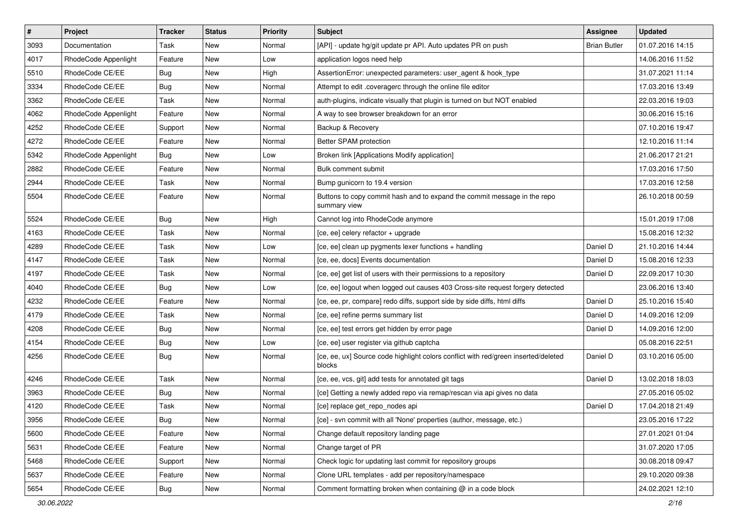| $\vert$ # | Project              | <b>Tracker</b> | <b>Status</b> | <b>Priority</b> | <b>Subject</b>                                                                               | Assignee            | <b>Updated</b>   |
|-----------|----------------------|----------------|---------------|-----------------|----------------------------------------------------------------------------------------------|---------------------|------------------|
| 3093      | Documentation        | Task           | New           | Normal          | [API] - update hg/git update pr API. Auto updates PR on push                                 | <b>Brian Butler</b> | 01.07.2016 14:15 |
| 4017      | RhodeCode Appenlight | Feature        | New           | Low             | application logos need help                                                                  |                     | 14.06.2016 11:52 |
| 5510      | RhodeCode CE/EE      | <b>Bug</b>     | New           | High            | AssertionError: unexpected parameters: user agent & hook type                                |                     | 31.07.2021 11:14 |
| 3334      | RhodeCode CE/EE      | <b>Bug</b>     | New           | Normal          | Attempt to edit .coveragerc through the online file editor                                   |                     | 17.03.2016 13:49 |
| 3362      | RhodeCode CE/EE      | Task           | New           | Normal          | auth-plugins, indicate visually that plugin is turned on but NOT enabled                     |                     | 22.03.2016 19:03 |
| 4062      | RhodeCode Appenlight | Feature        | New           | Normal          | A way to see browser breakdown for an error                                                  |                     | 30.06.2016 15:16 |
| 4252      | RhodeCode CE/EE      | Support        | New           | Normal          | Backup & Recovery                                                                            |                     | 07.10.2016 19:47 |
| 4272      | RhodeCode CE/EE      | Feature        | New           | Normal          | Better SPAM protection                                                                       |                     | 12.10.2016 11:14 |
| 5342      | RhodeCode Appenlight | Bug            | New           | Low             | Broken link [Applications Modify application]                                                |                     | 21.06.2017 21:21 |
| 2882      | RhodeCode CE/EE      | Feature        | New           | Normal          | Bulk comment submit                                                                          |                     | 17.03.2016 17:50 |
| 2944      | RhodeCode CE/EE      | Task           | New           | Normal          | Bump gunicorn to 19.4 version                                                                |                     | 17.03.2016 12:58 |
| 5504      | RhodeCode CE/EE      | Feature        | New           | Normal          | Buttons to copy commit hash and to expand the commit message in the repo<br>summary view     |                     | 26.10.2018 00:59 |
| 5524      | RhodeCode CE/EE      | Bug            | New           | High            | Cannot log into RhodeCode anymore                                                            |                     | 15.01.2019 17:08 |
| 4163      | RhodeCode CE/EE      | Task           | New           | Normal          | [ce, ee] celery refactor + upgrade                                                           |                     | 15.08.2016 12:32 |
| 4289      | RhodeCode CE/EE      | Task           | New           | Low             | [ce, ee] clean up pygments lexer functions + handling                                        | Daniel D            | 21.10.2016 14:44 |
| 4147      | RhodeCode CE/EE      | Task           | New           | Normal          | [ce, ee, docs] Events documentation                                                          | Daniel D            | 15.08.2016 12:33 |
| 4197      | RhodeCode CE/EE      | Task           | New           | Normal          | [ce, ee] get list of users with their permissions to a repository                            | Daniel D            | 22.09.2017 10:30 |
| 4040      | RhodeCode CE/EE      | Bug            | New           | Low             | [ce, ee] logout when logged out causes 403 Cross-site request forgery detected               |                     | 23.06.2016 13:40 |
| 4232      | RhodeCode CE/EE      | Feature        | New           | Normal          | [ce, ee, pr, compare] redo diffs, support side by side diffs, html diffs                     | Daniel D            | 25.10.2016 15:40 |
| 4179      | RhodeCode CE/EE      | Task           | New           | Normal          | [ce, ee] refine perms summary list                                                           | Daniel D            | 14.09.2016 12:09 |
| 4208      | RhodeCode CE/EE      | <b>Bug</b>     | New           | Normal          | [ce, ee] test errors get hidden by error page                                                | Daniel D            | 14.09.2016 12:00 |
| 4154      | RhodeCode CE/EE      | <b>Bug</b>     | New           | Low             | [ce, ee] user register via github captcha                                                    |                     | 05.08.2016 22:51 |
| 4256      | RhodeCode CE/EE      | Bug            | New           | Normal          | [ce, ee, ux] Source code highlight colors conflict with red/green inserted/deleted<br>blocks | Daniel D            | 03.10.2016 05:00 |
| 4246      | RhodeCode CE/EE      | Task           | New           | Normal          | [ce, ee, vcs, git] add tests for annotated git tags                                          | Daniel D            | 13.02.2018 18:03 |
| 3963      | RhodeCode CE/EE      | <b>Bug</b>     | New           | Normal          | [ce] Getting a newly added repo via remap/rescan via api gives no data                       |                     | 27.05.2016 05:02 |
| 4120      | RhodeCode CE/EE      | Task           | New           | Normal          | [ce] replace get repo nodes api                                                              | Daniel D            | 17.04.2018 21:49 |
| 3956      | RhodeCode CE/EE      | <b>Bug</b>     | New           | Normal          | [ce] - svn commit with all 'None' properties (author, message, etc.)                         |                     | 23.05.2016 17:22 |
| 5600      | RhodeCode CE/EE      | Feature        | New           | Normal          | Change default repository landing page                                                       |                     | 27.01.2021 01:04 |
| 5631      | RhodeCode CE/EE      | Feature        | New           | Normal          | Change target of PR                                                                          |                     | 31.07.2020 17:05 |
| 5468      | RhodeCode CE/EE      | Support        | New           | Normal          | Check logic for updating last commit for repository groups                                   |                     | 30.08.2018 09:47 |
| 5637      | RhodeCode CE/EE      | Feature        | New           | Normal          | Clone URL templates - add per repository/namespace                                           |                     | 29.10.2020 09:38 |
| 5654      | RhodeCode CE/EE      | <b>Bug</b>     | New           | Normal          | Comment formatting broken when containing @ in a code block                                  |                     | 24.02.2021 12:10 |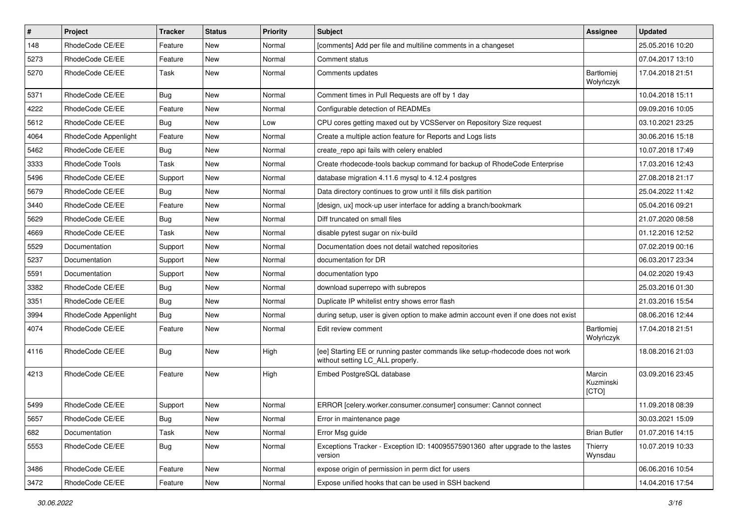| $\pmb{\#}$ | Project              | <b>Tracker</b> | <b>Status</b> | <b>Priority</b> | <b>Subject</b>                                                                                                     | <b>Assignee</b>              | <b>Updated</b>   |
|------------|----------------------|----------------|---------------|-----------------|--------------------------------------------------------------------------------------------------------------------|------------------------------|------------------|
| 148        | RhodeCode CE/EE      | Feature        | New           | Normal          | [comments] Add per file and multiline comments in a changeset                                                      |                              | 25.05.2016 10:20 |
| 5273       | RhodeCode CE/EE      | Feature        | <b>New</b>    | Normal          | Comment status                                                                                                     |                              | 07.04.2017 13:10 |
| 5270       | RhodeCode CE/EE      | Task           | New           | Normal          | Comments updates                                                                                                   | Bartłomiej<br>Wołyńczyk      | 17.04.2018 21:51 |
| 5371       | RhodeCode CE/EE      | Bug            | <b>New</b>    | Normal          | Comment times in Pull Requests are off by 1 day                                                                    |                              | 10.04.2018 15:11 |
| 4222       | RhodeCode CE/EE      | Feature        | New           | Normal          | Configurable detection of READMEs                                                                                  |                              | 09.09.2016 10:05 |
| 5612       | RhodeCode CE/EE      | Bug            | New           | Low             | CPU cores getting maxed out by VCSServer on Repository Size request                                                |                              | 03.10.2021 23:25 |
| 4064       | RhodeCode Appenlight | Feature        | New           | Normal          | Create a multiple action feature for Reports and Logs lists                                                        |                              | 30.06.2016 15:18 |
| 5462       | RhodeCode CE/EE      | Bug            | New           | Normal          | create_repo api fails with celery enabled                                                                          |                              | 10.07.2018 17:49 |
| 3333       | RhodeCode Tools      | Task           | <b>New</b>    | Normal          | Create rhodecode-tools backup command for backup of RhodeCode Enterprise                                           |                              | 17.03.2016 12:43 |
| 5496       | RhodeCode CE/EE      | Support        | New           | Normal          | database migration 4.11.6 mysql to 4.12.4 postgres                                                                 |                              | 27.08.2018 21:17 |
| 5679       | RhodeCode CE/EE      | Bug            | New           | Normal          | Data directory continues to grow until it fills disk partition                                                     |                              | 25.04.2022 11:42 |
| 3440       | RhodeCode CE/EE      | Feature        | New           | Normal          | [design, ux] mock-up user interface for adding a branch/bookmark                                                   |                              | 05.04.2016 09:21 |
| 5629       | RhodeCode CE/EE      | Bug            | New           | Normal          | Diff truncated on small files                                                                                      |                              | 21.07.2020 08:58 |
| 4669       | RhodeCode CE/EE      | Task           | New           | Normal          | disable pytest sugar on nix-build                                                                                  |                              | 01.12.2016 12:52 |
| 5529       | Documentation        | Support        | New           | Normal          | Documentation does not detail watched repositories                                                                 |                              | 07.02.2019 00:16 |
| 5237       | Documentation        | Support        | New           | Normal          | documentation for DR                                                                                               |                              | 06.03.2017 23:34 |
| 5591       | Documentation        | Support        | <b>New</b>    | Normal          | documentation typo                                                                                                 |                              | 04.02.2020 19:43 |
| 3382       | RhodeCode CE/EE      | <b>Bug</b>     | New           | Normal          | download superrepo with subrepos                                                                                   |                              | 25.03.2016 01:30 |
| 3351       | RhodeCode CE/EE      | Bug            | New           | Normal          | Duplicate IP whitelist entry shows error flash                                                                     |                              | 21.03.2016 15:54 |
| 3994       | RhodeCode Appenlight | Bug            | New           | Normal          | during setup, user is given option to make admin account even if one does not exist                                |                              | 08.06.2016 12:44 |
| 4074       | RhodeCode CE/EE      | Feature        | New           | Normal          | Edit review comment                                                                                                | Bartłomiej<br>Wołyńczyk      | 17.04.2018 21:51 |
| 4116       | RhodeCode CE/EE      | Bug            | New           | High            | [ee] Starting EE or running paster commands like setup-rhodecode does not work<br>without setting LC_ALL properly. |                              | 18.08.2016 21:03 |
| 4213       | RhodeCode CE/EE      | Feature        | <b>New</b>    | High            | Embed PostgreSQL database                                                                                          | Marcin<br>Kuzminski<br>[CTO] | 03.09.2016 23:45 |
| 5499       | RhodeCode CE/EE      | Support        | <b>New</b>    | Normal          | ERROR [celery.worker.consumer.consumer] consumer: Cannot connect                                                   |                              | 11.09.2018 08:39 |
| 5657       | RhodeCode CE/EE      | <b>Bug</b>     | New           | Normal          | Error in maintenance page                                                                                          |                              | 30.03.2021 15:09 |
| 682        | Documentation        | Task           | <b>New</b>    | Normal          | Error Msg guide                                                                                                    | <b>Brian Butler</b>          | 01.07.2016 14:15 |
| 5553       | RhodeCode CE/EE      | Bug            | New           | Normal          | Exceptions Tracker - Exception ID: 140095575901360 after upgrade to the lastes<br>version                          | Thierry<br>Wynsdau           | 10.07.2019 10:33 |
| 3486       | RhodeCode CE/EE      | Feature        | New           | Normal          | expose origin of permission in perm dict for users                                                                 |                              | 06.06.2016 10:54 |
| 3472       | RhodeCode CE/EE      | Feature        | New           | Normal          | Expose unified hooks that can be used in SSH backend                                                               |                              | 14.04.2016 17:54 |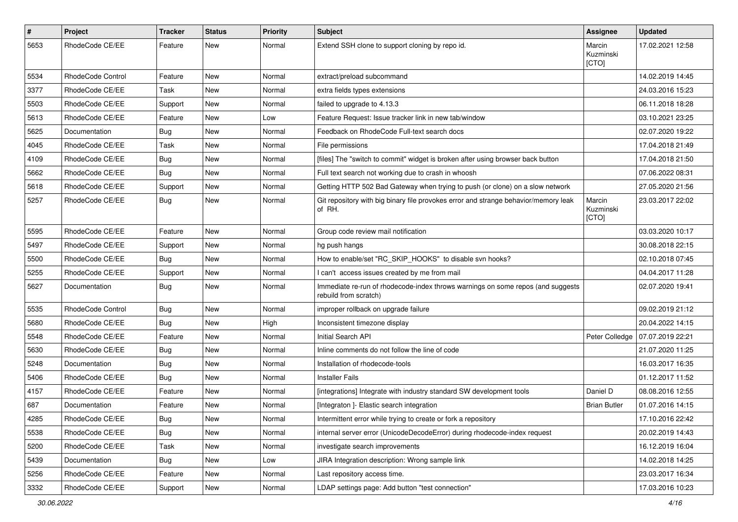| $\pmb{\#}$ | Project           | <b>Tracker</b> | <b>Status</b> | <b>Priority</b> | <b>Subject</b>                                                                                           | Assignee                     | <b>Updated</b>   |
|------------|-------------------|----------------|---------------|-----------------|----------------------------------------------------------------------------------------------------------|------------------------------|------------------|
| 5653       | RhodeCode CE/EE   | Feature        | <b>New</b>    | Normal          | Extend SSH clone to support cloning by repo id.                                                          | Marcin<br>Kuzminski<br>[CTO] | 17.02.2021 12:58 |
| 5534       | RhodeCode Control | Feature        | New           | Normal          | extract/preload subcommand                                                                               |                              | 14.02.2019 14:45 |
| 3377       | RhodeCode CE/EE   | Task           | <b>New</b>    | Normal          | extra fields types extensions                                                                            |                              | 24.03.2016 15:23 |
| 5503       | RhodeCode CE/EE   | Support        | New           | Normal          | failed to upgrade to 4.13.3                                                                              |                              | 06.11.2018 18:28 |
| 5613       | RhodeCode CE/EE   | Feature        | New           | Low             | Feature Request: Issue tracker link in new tab/window                                                    |                              | 03.10.2021 23:25 |
| 5625       | Documentation     | Bug            | New           | Normal          | Feedback on RhodeCode Full-text search docs                                                              |                              | 02.07.2020 19:22 |
| 4045       | RhodeCode CE/EE   | Task           | New           | Normal          | File permissions                                                                                         |                              | 17.04.2018 21:49 |
| 4109       | RhodeCode CE/EE   | Bug            | <b>New</b>    | Normal          | [files] The "switch to commit" widget is broken after using browser back button                          |                              | 17.04.2018 21:50 |
| 5662       | RhodeCode CE/EE   | <b>Bug</b>     | New           | Normal          | Full text search not working due to crash in whoosh                                                      |                              | 07.06.2022 08:31 |
| 5618       | RhodeCode CE/EE   | Support        | New           | Normal          | Getting HTTP 502 Bad Gateway when trying to push (or clone) on a slow network                            |                              | 27.05.2020 21:56 |
| 5257       | RhodeCode CE/EE   | <b>Bug</b>     | <b>New</b>    | Normal          | Git repository with big binary file provokes error and strange behavior/memory leak<br>of RH.            | Marcin<br>Kuzminski<br>[CTO] | 23.03.2017 22:02 |
| 5595       | RhodeCode CE/EE   | Feature        | New           | Normal          | Group code review mail notification                                                                      |                              | 03.03.2020 10:17 |
| 5497       | RhodeCode CE/EE   | Support        | New           | Normal          | hg push hangs                                                                                            |                              | 30.08.2018 22:15 |
| 5500       | RhodeCode CE/EE   | Bug            | <b>New</b>    | Normal          | How to enable/set "RC_SKIP_HOOKS" to disable svn hooks?                                                  |                              | 02.10.2018 07:45 |
| 5255       | RhodeCode CE/EE   | Support        | New           | Normal          | I can't access issues created by me from mail                                                            |                              | 04.04.2017 11:28 |
| 5627       | Documentation     | Bug            | New           | Normal          | Immediate re-run of rhodecode-index throws warnings on some repos (and suggests<br>rebuild from scratch) |                              | 02.07.2020 19:41 |
| 5535       | RhodeCode Control | Bug            | <b>New</b>    | Normal          | improper rollback on upgrade failure                                                                     |                              | 09.02.2019 21:12 |
| 5680       | RhodeCode CE/EE   | Bug            | New           | High            | Inconsistent timezone display                                                                            |                              | 20.04.2022 14:15 |
| 5548       | RhodeCode CE/EE   | Feature        | New           | Normal          | Initial Search API                                                                                       | Peter Colledge               | 07.07.2019 22:21 |
| 5630       | RhodeCode CE/EE   | Bug            | New           | Normal          | Inline comments do not follow the line of code                                                           |                              | 21.07.2020 11:25 |
| 5248       | Documentation     | Bug            | <b>New</b>    | Normal          | Installation of rhodecode-tools                                                                          |                              | 16.03.2017 16:35 |
| 5406       | RhodeCode CE/EE   | Bug            | New           | Normal          | <b>Installer Fails</b>                                                                                   |                              | 01.12.2017 11:52 |
| 4157       | RhodeCode CE/EE   | Feature        | <b>New</b>    | Normal          | [integrations] Integrate with industry standard SW development tools                                     | Daniel D                     | 08.08.2016 12:55 |
| 687        | Documentation     | Feature        | New           | Normal          | [Integraton] - Elastic search integration                                                                | <b>Brian Butler</b>          | 01.07.2016 14:15 |
| 4285       | RhodeCode CE/EE   | <b>Bug</b>     | New           | Normal          | Intermittent error while trying to create or fork a repository                                           |                              | 17.10.2016 22:42 |
| 5538       | RhodeCode CE/EE   | Bug            | New           | Normal          | internal server error (UnicodeDecodeError) during rhodecode-index request                                |                              | 20.02.2019 14:43 |
| 5200       | RhodeCode CE/EE   | Task           | New           | Normal          | investigate search improvements                                                                          |                              | 16.12.2019 16:04 |
| 5439       | Documentation     | Bug            | New           | Low             | JIRA Integration description: Wrong sample link                                                          |                              | 14.02.2018 14:25 |
| 5256       | RhodeCode CE/EE   | Feature        | New           | Normal          | Last repository access time.                                                                             |                              | 23.03.2017 16:34 |
| 3332       | RhodeCode CE/EE   | Support        | New           | Normal          | LDAP settings page: Add button "test connection"                                                         |                              | 17.03.2016 10:23 |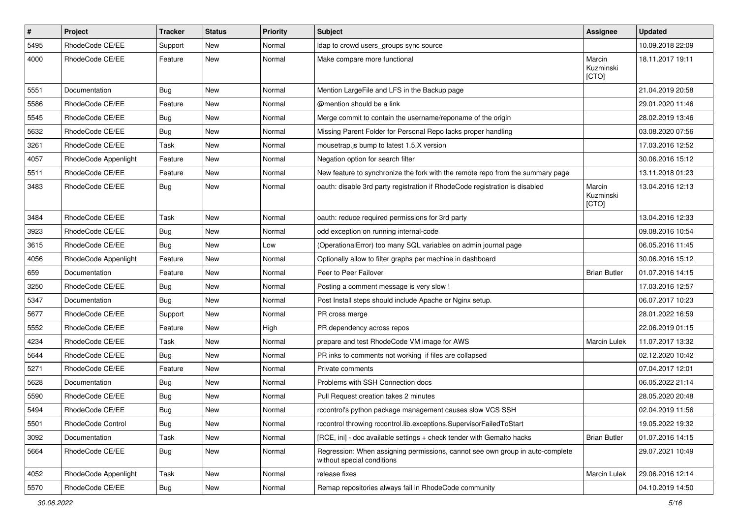| $\pmb{\#}$ | Project              | <b>Tracker</b> | <b>Status</b> | <b>Priority</b> | <b>Subject</b>                                                                                              | Assignee                     | <b>Updated</b>   |
|------------|----------------------|----------------|---------------|-----------------|-------------------------------------------------------------------------------------------------------------|------------------------------|------------------|
| 5495       | RhodeCode CE/EE      | Support        | New           | Normal          | Idap to crowd users_groups sync source                                                                      |                              | 10.09.2018 22:09 |
| 4000       | RhodeCode CE/EE      | Feature        | <b>New</b>    | Normal          | Make compare more functional                                                                                | Marcin<br>Kuzminski<br>[CTO] | 18.11.2017 19:11 |
| 5551       | Documentation        | Bug            | <b>New</b>    | Normal          | Mention LargeFile and LFS in the Backup page                                                                |                              | 21.04.2019 20:58 |
| 5586       | RhodeCode CE/EE      | Feature        | New           | Normal          | @mention should be a link                                                                                   |                              | 29.01.2020 11:46 |
| 5545       | RhodeCode CE/EE      | <b>Bug</b>     | <b>New</b>    | Normal          | Merge commit to contain the username/reponame of the origin                                                 |                              | 28.02.2019 13:46 |
| 5632       | RhodeCode CE/EE      | Bug            | New           | Normal          | Missing Parent Folder for Personal Repo lacks proper handling                                               |                              | 03.08.2020 07:56 |
| 3261       | RhodeCode CE/EE      | Task           | New           | Normal          | mousetrap.js bump to latest 1.5.X version                                                                   |                              | 17.03.2016 12:52 |
| 4057       | RhodeCode Appenlight | Feature        | <b>New</b>    | Normal          | Negation option for search filter                                                                           |                              | 30.06.2016 15:12 |
| 5511       | RhodeCode CE/EE      | Feature        | New           | Normal          | New feature to synchronize the fork with the remote repo from the summary page                              |                              | 13.11.2018 01:23 |
| 3483       | RhodeCode CE/EE      | Bug            | New           | Normal          | oauth: disable 3rd party registration if RhodeCode registration is disabled                                 | Marcin<br>Kuzminski<br>[CTO] | 13.04.2016 12:13 |
| 3484       | RhodeCode CE/EE      | Task           | <b>New</b>    | Normal          | oauth: reduce required permissions for 3rd party                                                            |                              | 13.04.2016 12:33 |
| 3923       | RhodeCode CE/EE      | Bug            | New           | Normal          | odd exception on running internal-code                                                                      |                              | 09.08.2016 10:54 |
| 3615       | RhodeCode CE/EE      | Bug            | <b>New</b>    | Low             | (OperationalError) too many SQL variables on admin journal page                                             |                              | 06.05.2016 11:45 |
| 4056       | RhodeCode Appenlight | Feature        | <b>New</b>    | Normal          | Optionally allow to filter graphs per machine in dashboard                                                  |                              | 30.06.2016 15:12 |
| 659        | Documentation        | Feature        | New           | Normal          | Peer to Peer Failover                                                                                       | <b>Brian Butler</b>          | 01.07.2016 14:15 |
| 3250       | RhodeCode CE/EE      | Bug            | New           | Normal          | Posting a comment message is very slow !                                                                    |                              | 17.03.2016 12:57 |
| 5347       | Documentation        | Bug            | <b>New</b>    | Normal          | Post Install steps should include Apache or Nginx setup.                                                    |                              | 06.07.2017 10:23 |
| 5677       | RhodeCode CE/EE      | Support        | New           | Normal          | PR cross merge                                                                                              |                              | 28.01.2022 16:59 |
| 5552       | RhodeCode CE/EE      | Feature        | <b>New</b>    | High            | PR dependency across repos                                                                                  |                              | 22.06.2019 01:15 |
| 4234       | RhodeCode CE/EE      | Task           | New           | Normal          | prepare and test RhodeCode VM image for AWS                                                                 | Marcin Lulek                 | 11.07.2017 13:32 |
| 5644       | RhodeCode CE/EE      | <b>Bug</b>     | New           | Normal          | PR inks to comments not working if files are collapsed                                                      |                              | 02.12.2020 10:42 |
| 5271       | RhodeCode CE/EE      | Feature        | <b>New</b>    | Normal          | Private comments                                                                                            |                              | 07.04.2017 12:01 |
| 5628       | Documentation        | <b>Bug</b>     | New           | Normal          | Problems with SSH Connection docs                                                                           |                              | 06.05.2022 21:14 |
| 5590       | RhodeCode CE/EE      | <b>Bug</b>     | New           | Normal          | Pull Request creation takes 2 minutes                                                                       |                              | 28.05.2020 20:48 |
| 5494       | RhodeCode CE/EE      | Bug            | New           | Normal          | rccontrol's python package management causes slow VCS SSH                                                   |                              | 02.04.2019 11:56 |
| 5501       | RhodeCode Control    | <b>Bug</b>     | New           | Normal          | rccontrol throwing rccontrol.lib.exceptions.SupervisorFailedToStart                                         |                              | 19.05.2022 19:32 |
| 3092       | Documentation        | Task           | New           | Normal          | [RCE, ini] - doc available settings + check tender with Gemalto hacks                                       | <b>Brian Butler</b>          | 01.07.2016 14:15 |
| 5664       | RhodeCode CE/EE      | <b>Bug</b>     | New           | Normal          | Regression: When assigning permissions, cannot see own group in auto-complete<br>without special conditions |                              | 29.07.2021 10:49 |
| 4052       | RhodeCode Appenlight | Task           | New           | Normal          | release fixes                                                                                               | Marcin Lulek                 | 29.06.2016 12:14 |
| 5570       | RhodeCode CE/EE      | <b>Bug</b>     | New           | Normal          | Remap repositories always fail in RhodeCode community                                                       |                              | 04.10.2019 14:50 |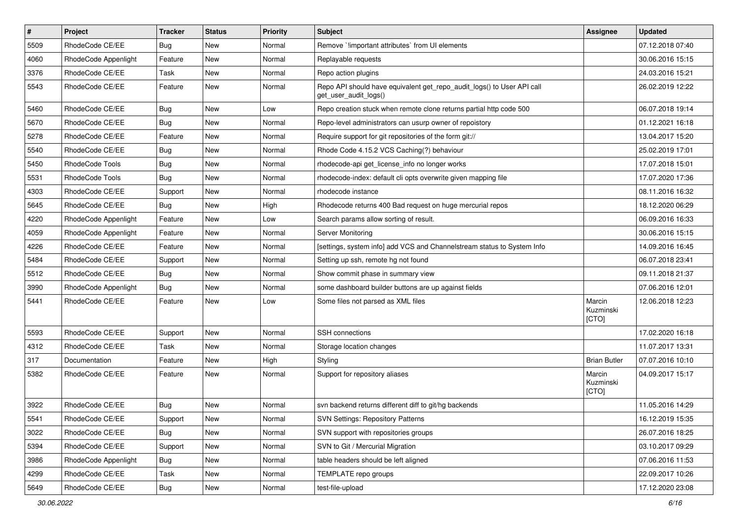| $\pmb{\#}$ | Project              | <b>Tracker</b> | <b>Status</b> | <b>Priority</b> | <b>Subject</b>                                                                                  | <b>Assignee</b>              | <b>Updated</b>   |
|------------|----------------------|----------------|---------------|-----------------|-------------------------------------------------------------------------------------------------|------------------------------|------------------|
| 5509       | RhodeCode CE/EE      | <b>Bug</b>     | New           | Normal          | Remove `!important attributes` from UI elements                                                 |                              | 07.12.2018 07:40 |
| 4060       | RhodeCode Appenlight | Feature        | <b>New</b>    | Normal          | Replayable requests                                                                             |                              | 30.06.2016 15:15 |
| 3376       | RhodeCode CE/EE      | Task           | New           | Normal          | Repo action plugins                                                                             |                              | 24.03.2016 15:21 |
| 5543       | RhodeCode CE/EE      | Feature        | New           | Normal          | Repo API should have equivalent get_repo_audit_logs() to User API call<br>get_user_audit_logs() |                              | 26.02.2019 12:22 |
| 5460       | RhodeCode CE/EE      | Bug            | <b>New</b>    | Low             | Repo creation stuck when remote clone returns partial http code 500                             |                              | 06.07.2018 19:14 |
| 5670       | RhodeCode CE/EE      | Bug            | New           | Normal          | Repo-level administrators can usurp owner of repoistory                                         |                              | 01.12.2021 16:18 |
| 5278       | RhodeCode CE/EE      | Feature        | <b>New</b>    | Normal          | Require support for git repositories of the form git://                                         |                              | 13.04.2017 15:20 |
| 5540       | RhodeCode CE/EE      | Bug            | New           | Normal          | Rhode Code 4.15.2 VCS Caching(?) behaviour                                                      |                              | 25.02.2019 17:01 |
| 5450       | RhodeCode Tools      | Bug            | <b>New</b>    | Normal          | rhodecode-api get_license_info no longer works                                                  |                              | 17.07.2018 15:01 |
| 5531       | RhodeCode Tools      | Bug            | New           | Normal          | rhodecode-index: default cli opts overwrite given mapping file                                  |                              | 17.07.2020 17:36 |
| 4303       | RhodeCode CE/EE      | Support        | New           | Normal          | rhodecode instance                                                                              |                              | 08.11.2016 16:32 |
| 5645       | RhodeCode CE/EE      | Bug            | <b>New</b>    | High            | Rhodecode returns 400 Bad request on huge mercurial repos                                       |                              | 18.12.2020 06:29 |
| 4220       | RhodeCode Appenlight | Feature        | New           | Low             | Search params allow sorting of result.                                                          |                              | 06.09.2016 16:33 |
| 4059       | RhodeCode Appenlight | Feature        | <b>New</b>    | Normal          | Server Monitoring                                                                               |                              | 30.06.2016 15:15 |
| 4226       | RhodeCode CE/EE      | Feature        | New           | Normal          | [settings, system info] add VCS and Channelstream status to System Info                         |                              | 14.09.2016 16:45 |
| 5484       | RhodeCode CE/EE      | Support        | <b>New</b>    | Normal          | Setting up ssh, remote hg not found                                                             |                              | 06.07.2018 23:41 |
| 5512       | RhodeCode CE/EE      | Bug            | <b>New</b>    | Normal          | Show commit phase in summary view                                                               |                              | 09.11.2018 21:37 |
| 3990       | RhodeCode Appenlight | Bug            | New           | Normal          | some dashboard builder buttons are up against fields                                            |                              | 07.06.2016 12:01 |
| 5441       | RhodeCode CE/EE      | Feature        | New           | Low             | Some files not parsed as XML files                                                              | Marcin<br>Kuzminski<br>[CTO] | 12.06.2018 12:23 |
| 5593       | RhodeCode CE/EE      | Support        | <b>New</b>    | Normal          | SSH connections                                                                                 |                              | 17.02.2020 16:18 |
| 4312       | RhodeCode CE/EE      | Task           | New           | Normal          | Storage location changes                                                                        |                              | 11.07.2017 13:31 |
| 317        | Documentation        | Feature        | <b>New</b>    | High            | Styling                                                                                         | <b>Brian Butler</b>          | 07.07.2016 10:10 |
| 5382       | RhodeCode CE/EE      | Feature        | <b>New</b>    | Normal          | Support for repository aliases                                                                  | Marcin<br>Kuzminski<br>[CTO] | 04.09.2017 15:17 |
| 3922       | RhodeCode CE/EE      | Bug            | <b>New</b>    | Normal          | svn backend returns different diff to git/hg backends                                           |                              | 11.05.2016 14:29 |
| 5541       | RhodeCode CE/EE      | Support        | New           | Normal          | <b>SVN Settings: Repository Patterns</b>                                                        |                              | 16.12.2019 15:35 |
| 3022       | RhodeCode CE/EE      | Bug            | New           | Normal          | SVN support with repositories groups                                                            |                              | 26.07.2016 18:25 |
| 5394       | RhodeCode CE/EE      | Support        | New           | Normal          | SVN to Git / Mercurial Migration                                                                |                              | 03.10.2017 09:29 |
| 3986       | RhodeCode Appenlight | Bug            | New           | Normal          | table headers should be left aligned                                                            |                              | 07.06.2016 11:53 |
| 4299       | RhodeCode CE/EE      | Task           | New           | Normal          | TEMPLATE repo groups                                                                            |                              | 22.09.2017 10:26 |
| 5649       | RhodeCode CE/EE      | Bug            | New           | Normal          | test-file-upload                                                                                |                              | 17.12.2020 23:08 |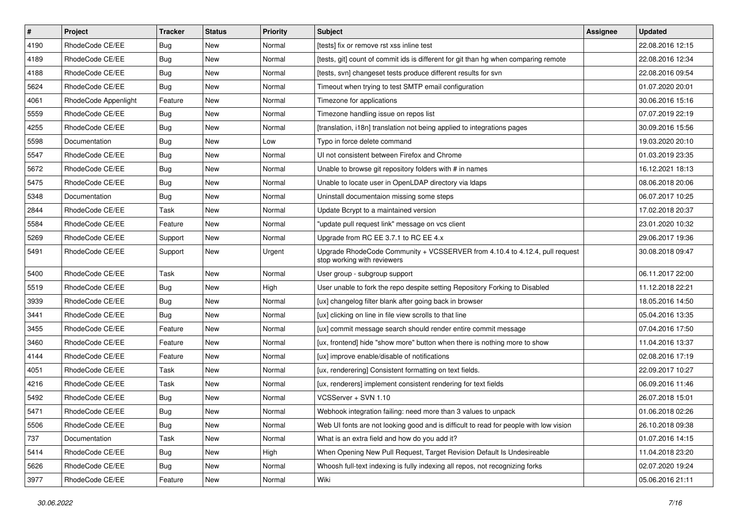| $\vert$ # | Project              | <b>Tracker</b> | <b>Status</b> | <b>Priority</b> | Subject                                                                                                    | <b>Assignee</b> | <b>Updated</b>   |
|-----------|----------------------|----------------|---------------|-----------------|------------------------------------------------------------------------------------------------------------|-----------------|------------------|
| 4190      | RhodeCode CE/EE      | Bug            | New           | Normal          | [tests] fix or remove rst xss inline test                                                                  |                 | 22.08.2016 12:15 |
| 4189      | RhodeCode CE/EE      | Bug            | New           | Normal          | [tests, git] count of commit ids is different for git than hg when comparing remote                        |                 | 22.08.2016 12:34 |
| 4188      | RhodeCode CE/EE      | Bug            | New           | Normal          | [tests, svn] changeset tests produce different results for svn                                             |                 | 22.08.2016 09:54 |
| 5624      | RhodeCode CE/EE      | Bug            | <b>New</b>    | Normal          | Timeout when trying to test SMTP email configuration                                                       |                 | 01.07.2020 20:01 |
| 4061      | RhodeCode Appenlight | Feature        | <b>New</b>    | Normal          | Timezone for applications                                                                                  |                 | 30.06.2016 15:16 |
| 5559      | RhodeCode CE/EE      | Bug            | New           | Normal          | Timezone handling issue on repos list                                                                      |                 | 07.07.2019 22:19 |
| 4255      | RhodeCode CE/EE      | Bug            | <b>New</b>    | Normal          | [translation, i18n] translation not being applied to integrations pages                                    |                 | 30.09.2016 15:56 |
| 5598      | Documentation        | <b>Bug</b>     | New           | Low             | Typo in force delete command                                                                               |                 | 19.03.2020 20:10 |
| 5547      | RhodeCode CE/EE      | Bug            | <b>New</b>    | Normal          | UI not consistent between Firefox and Chrome                                                               |                 | 01.03.2019 23:35 |
| 5672      | RhodeCode CE/EE      | Bug            | <b>New</b>    | Normal          | Unable to browse git repository folders with # in names                                                    |                 | 16.12.2021 18:13 |
| 5475      | RhodeCode CE/EE      | Bug            | New           | Normal          | Unable to locate user in OpenLDAP directory via Idaps                                                      |                 | 08.06.2018 20:06 |
| 5348      | Documentation        | Bug            | New           | Normal          | Uninstall documentaion missing some steps                                                                  |                 | 06.07.2017 10:25 |
| 2844      | RhodeCode CE/EE      | Task           | <b>New</b>    | Normal          | Update Bcrypt to a maintained version                                                                      |                 | 17.02.2018 20:37 |
| 5584      | RhodeCode CE/EE      | Feature        | New           | Normal          | "update pull request link" message on vcs client                                                           |                 | 23.01.2020 10:32 |
| 5269      | RhodeCode CE/EE      | Support        | <b>New</b>    | Normal          | Upgrade from RC EE 3.7.1 to RC EE 4.x                                                                      |                 | 29.06.2017 19:36 |
| 5491      | RhodeCode CE/EE      | Support        | New           | Urgent          | Upgrade RhodeCode Community + VCSSERVER from 4.10.4 to 4.12.4, pull request<br>stop working with reviewers |                 | 30.08.2018 09:47 |
| 5400      | RhodeCode CE/EE      | Task           | <b>New</b>    | Normal          | User group - subgroup support                                                                              |                 | 06.11.2017 22:00 |
| 5519      | RhodeCode CE/EE      | Bug            | New           | High            | User unable to fork the repo despite setting Repository Forking to Disabled                                |                 | 11.12.2018 22:21 |
| 3939      | RhodeCode CE/EE      | Bug            | New           | Normal          | [ux] changelog filter blank after going back in browser                                                    |                 | 18.05.2016 14:50 |
| 3441      | RhodeCode CE/EE      | Bug            | <b>New</b>    | Normal          | [ux] clicking on line in file view scrolls to that line                                                    |                 | 05.04.2016 13:35 |
| 3455      | RhodeCode CE/EE      | Feature        | <b>New</b>    | Normal          | [ux] commit message search should render entire commit message                                             |                 | 07.04.2016 17:50 |
| 3460      | RhodeCode CE/EE      | Feature        | <b>New</b>    | Normal          | [ux, frontend] hide "show more" button when there is nothing more to show                                  |                 | 11.04.2016 13:37 |
| 4144      | RhodeCode CE/EE      | Feature        | New           | Normal          | [ux] improve enable/disable of notifications                                                               |                 | 02.08.2016 17:19 |
| 4051      | RhodeCode CE/EE      | Task           | New           | Normal          | [ux, renderering] Consistent formatting on text fields.                                                    |                 | 22.09.2017 10:27 |
| 4216      | RhodeCode CE/EE      | Task           | <b>New</b>    | Normal          | [ux, renderers] implement consistent rendering for text fields                                             |                 | 06.09.2016 11:46 |
| 5492      | RhodeCode CE/EE      | Bug            | New           | Normal          | VCSServer + SVN 1.10                                                                                       |                 | 26.07.2018 15:01 |
| 5471      | RhodeCode CE/EE      | <b>Bug</b>     | <b>New</b>    | Normal          | Webhook integration failing: need more than 3 values to unpack                                             |                 | 01.06.2018 02:26 |
| 5506      | RhodeCode CE/EE      | <b>Bug</b>     | New           | Normal          | Web UI fonts are not looking good and is difficult to read for people with low vision                      |                 | 26.10.2018 09:38 |
| 737       | Documentation        | Task           | New           | Normal          | What is an extra field and how do you add it?                                                              |                 | 01.07.2016 14:15 |
| 5414      | RhodeCode CE/EE      | <b>Bug</b>     | New           | High            | When Opening New Pull Request, Target Revision Default Is Undesireable                                     |                 | 11.04.2018 23:20 |
| 5626      | RhodeCode CE/EE      | <b>Bug</b>     | New           | Normal          | Whoosh full-text indexing is fully indexing all repos, not recognizing forks                               |                 | 02.07.2020 19:24 |
| 3977      | RhodeCode CE/EE      | Feature        | New           | Normal          | Wiki                                                                                                       |                 | 05.06.2016 21:11 |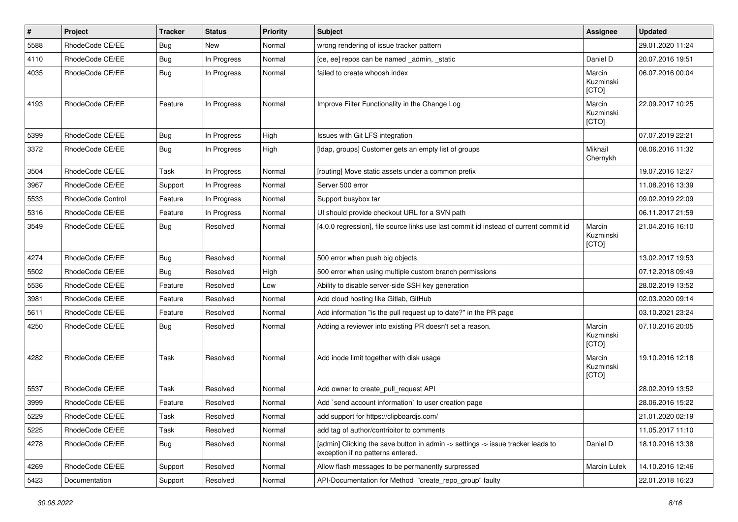| #    | Project           | <b>Tracker</b> | <b>Status</b> | <b>Priority</b> | <b>Subject</b>                                                                                                       | <b>Assignee</b>              | <b>Updated</b>   |
|------|-------------------|----------------|---------------|-----------------|----------------------------------------------------------------------------------------------------------------------|------------------------------|------------------|
| 5588 | RhodeCode CE/EE   | Bug            | New           | Normal          | wrong rendering of issue tracker pattern                                                                             |                              | 29.01.2020 11:24 |
| 4110 | RhodeCode CE/EE   | Bug            | In Progress   | Normal          | [ce, ee] repos can be named _admin, _static                                                                          | Daniel D                     | 20.07.2016 19:51 |
| 4035 | RhodeCode CE/EE   | Bug            | In Progress   | Normal          | failed to create whoosh index                                                                                        | Marcin<br>Kuzminski<br>[CTO] | 06.07.2016 00:04 |
| 4193 | RhodeCode CE/EE   | Feature        | In Progress   | Normal          | Improve Filter Functionality in the Change Log                                                                       | Marcin<br>Kuzminski<br>[CTO] | 22.09.2017 10:25 |
| 5399 | RhodeCode CE/EE   | Bug            | In Progress   | High            | Issues with Git LFS integration                                                                                      |                              | 07.07.2019 22:21 |
| 3372 | RhodeCode CE/EE   | Bug            | In Progress   | High            | [Idap, groups] Customer gets an empty list of groups                                                                 | Mikhail<br>Chernykh          | 08.06.2016 11:32 |
| 3504 | RhodeCode CE/EE   | Task           | In Progress   | Normal          | [routing] Move static assets under a common prefix                                                                   |                              | 19.07.2016 12:27 |
| 3967 | RhodeCode CE/EE   | Support        | In Progress   | Normal          | Server 500 error                                                                                                     |                              | 11.08.2016 13:39 |
| 5533 | RhodeCode Control | Feature        | In Progress   | Normal          | Support busybox tar                                                                                                  |                              | 09.02.2019 22:09 |
| 5316 | RhodeCode CE/EE   | Feature        | In Progress   | Normal          | UI should provide checkout URL for a SVN path                                                                        |                              | 06.11.2017 21:59 |
| 3549 | RhodeCode CE/EE   | <b>Bug</b>     | Resolved      | Normal          | [4.0.0 regression], file source links use last commit id instead of current commit id                                | Marcin<br>Kuzminski<br>[CTO] | 21.04.2016 16:10 |
| 4274 | RhodeCode CE/EE   | Bug            | Resolved      | Normal          | 500 error when push big objects                                                                                      |                              | 13.02.2017 19:53 |
| 5502 | RhodeCode CE/EE   | Bug            | Resolved      | High            | 500 error when using multiple custom branch permissions                                                              |                              | 07.12.2018 09:49 |
| 5536 | RhodeCode CE/EE   | Feature        | Resolved      | Low             | Ability to disable server-side SSH key generation                                                                    |                              | 28.02.2019 13:52 |
| 3981 | RhodeCode CE/EE   | Feature        | Resolved      | Normal          | Add cloud hosting like Gitlab, GitHub                                                                                |                              | 02.03.2020 09:14 |
| 5611 | RhodeCode CE/EE   | Feature        | Resolved      | Normal          | Add information "is the pull request up to date?" in the PR page                                                     |                              | 03.10.2021 23:24 |
| 4250 | RhodeCode CE/EE   | Bug            | Resolved      | Normal          | Adding a reviewer into existing PR doesn't set a reason.                                                             | Marcin<br>Kuzminski<br>[CTO] | 07.10.2016 20:05 |
| 4282 | RhodeCode CE/EE   | Task           | Resolved      | Normal          | Add inode limit together with disk usage                                                                             | Marcin<br>Kuzminski<br>[CTO] | 19.10.2016 12:18 |
| 5537 | RhodeCode CE/EE   | Task           | Resolved      | Normal          | Add owner to create_pull_request API                                                                                 |                              | 28.02.2019 13:52 |
| 3999 | RhodeCode CE/EE   | Feature        | Resolved      | Normal          | Add `send account information` to user creation page                                                                 |                              | 28.06.2016 15:22 |
| 5229 | RhodeCode CE/EE   | Task           | Resolved      | Normal          | add support for https://clipboardjs.com/                                                                             |                              | 21.01.2020 02:19 |
| 5225 | RhodeCode CE/EE   | Task           | Resolved      | Normal          | add tag of author/contribitor to comments                                                                            |                              | 11.05.2017 11:10 |
| 4278 | RhodeCode CE/EE   | Bug            | Resolved      | Normal          | [admin] Clicking the save button in admin -> settings -> issue tracker leads to<br>exception if no patterns entered. | Daniel D                     | 18.10.2016 13:38 |
| 4269 | RhodeCode CE/EE   | Support        | Resolved      | Normal          | Allow flash messages to be permanently surpressed                                                                    | Marcin Lulek                 | 14.10.2016 12:46 |
| 5423 | Documentation     | Support        | Resolved      | Normal          | API-Documentation for Method "create_repo_group" faulty                                                              |                              | 22.01.2018 16:23 |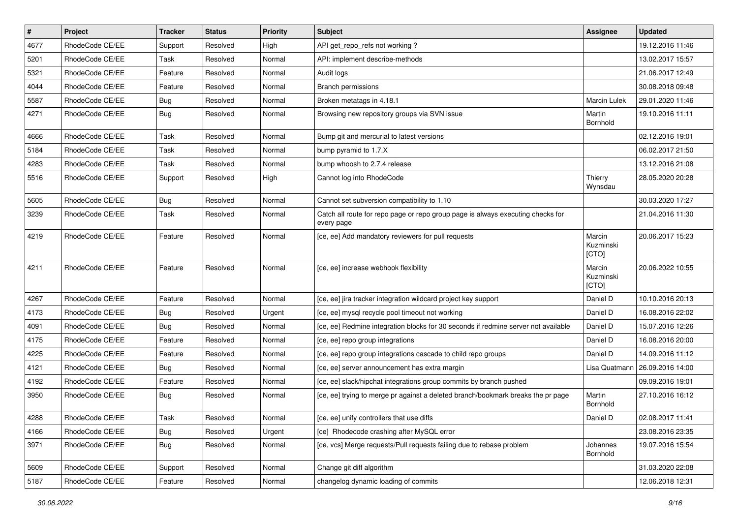| $\pmb{\#}$ | Project         | <b>Tracker</b> | <b>Status</b> | <b>Priority</b> | <b>Subject</b>                                                                                | <b>Assignee</b>              | <b>Updated</b>   |
|------------|-----------------|----------------|---------------|-----------------|-----------------------------------------------------------------------------------------------|------------------------------|------------------|
| 4677       | RhodeCode CE/EE | Support        | Resolved      | High            | API get_repo_refs not working?                                                                |                              | 19.12.2016 11:46 |
| 5201       | RhodeCode CE/EE | Task           | Resolved      | Normal          | API: implement describe-methods                                                               |                              | 13.02.2017 15:57 |
| 5321       | RhodeCode CE/EE | Feature        | Resolved      | Normal          | Audit logs                                                                                    |                              | 21.06.2017 12:49 |
| 4044       | RhodeCode CE/EE | Feature        | Resolved      | Normal          | <b>Branch permissions</b>                                                                     |                              | 30.08.2018 09:48 |
| 5587       | RhodeCode CE/EE | Bug            | Resolved      | Normal          | Broken metatags in 4.18.1                                                                     | Marcin Lulek                 | 29.01.2020 11:46 |
| 4271       | RhodeCode CE/EE | Bug            | Resolved      | Normal          | Browsing new repository groups via SVN issue                                                  | Martin<br>Bornhold           | 19.10.2016 11:11 |
| 4666       | RhodeCode CE/EE | Task           | Resolved      | Normal          | Bump git and mercurial to latest versions                                                     |                              | 02.12.2016 19:01 |
| 5184       | RhodeCode CE/EE | Task           | Resolved      | Normal          | bump pyramid to 1.7.X                                                                         |                              | 06.02.2017 21:50 |
| 4283       | RhodeCode CE/EE | Task           | Resolved      | Normal          | bump whoosh to 2.7.4 release                                                                  |                              | 13.12.2016 21:08 |
| 5516       | RhodeCode CE/EE | Support        | Resolved      | High            | Cannot log into RhodeCode                                                                     | Thierry<br>Wynsdau           | 28.05.2020 20:28 |
| 5605       | RhodeCode CE/EE | Bug            | Resolved      | Normal          | Cannot set subversion compatibility to 1.10                                                   |                              | 30.03.2020 17:27 |
| 3239       | RhodeCode CE/EE | Task           | Resolved      | Normal          | Catch all route for repo page or repo group page is always executing checks for<br>every page |                              | 21.04.2016 11:30 |
| 4219       | RhodeCode CE/EE | Feature        | Resolved      | Normal          | [ce, ee] Add mandatory reviewers for pull requests                                            | Marcin<br>Kuzminski<br>[CTO] | 20.06.2017 15:23 |
| 4211       | RhodeCode CE/EE | Feature        | Resolved      | Normal          | [ce, ee] increase webhook flexibility                                                         | Marcin<br>Kuzminski<br>[CTO] | 20.06.2022 10:55 |
| 4267       | RhodeCode CE/EE | Feature        | Resolved      | Normal          | [ce, ee] jira tracker integration wildcard project key support                                | Daniel D                     | 10.10.2016 20:13 |
| 4173       | RhodeCode CE/EE | Bug            | Resolved      | Urgent          | [ce, ee] mysql recycle pool timeout not working                                               | Daniel D                     | 16.08.2016 22:02 |
| 4091       | RhodeCode CE/EE | <b>Bug</b>     | Resolved      | Normal          | [ce, ee] Redmine integration blocks for 30 seconds if redmine server not available            | Daniel D                     | 15.07.2016 12:26 |
| 4175       | RhodeCode CE/EE | Feature        | Resolved      | Normal          | [ce, ee] repo group integrations                                                              | Daniel D                     | 16.08.2016 20:00 |
| 4225       | RhodeCode CE/EE | Feature        | Resolved      | Normal          | [ce, ee] repo group integrations cascade to child repo groups                                 | Daniel D                     | 14.09.2016 11:12 |
| 4121       | RhodeCode CE/EE | Bug            | Resolved      | Normal          | [ce, ee] server announcement has extra margin                                                 | Lisa Quatmann                | 26.09.2016 14:00 |
| 4192       | RhodeCode CE/EE | Feature        | Resolved      | Normal          | [ce, ee] slack/hipchat integrations group commits by branch pushed                            |                              | 09.09.2016 19:01 |
| 3950       | RhodeCode CE/EE | Bug            | Resolved      | Normal          | [ce, ee] trying to merge pr against a deleted branch/bookmark breaks the pr page              | Martin<br>Bornhold           | 27.10.2016 16:12 |
| 4288       | RhodeCode CE/EE | Task           | Resolved      | Normal          | [ce, ee] unify controllers that use diffs                                                     | Daniel D                     | 02.08.2017 11:41 |
| 4166       | RhodeCode CE/EE | Bug            | Resolved      | Urgent          | [ce] Rhodecode crashing after MySQL error                                                     |                              | 23.08.2016 23:35 |
| 3971       | RhodeCode CE/EE | Bug            | Resolved      | Normal          | [ce, vcs] Merge requests/Pull requests failing due to rebase problem                          | Johannes<br>Bornhold         | 19.07.2016 15:54 |
| 5609       | RhodeCode CE/EE | Support        | Resolved      | Normal          | Change git diff algorithm                                                                     |                              | 31.03.2020 22:08 |
| 5187       | RhodeCode CE/EE | Feature        | Resolved      | Normal          | changelog dynamic loading of commits                                                          |                              | 12.06.2018 12:31 |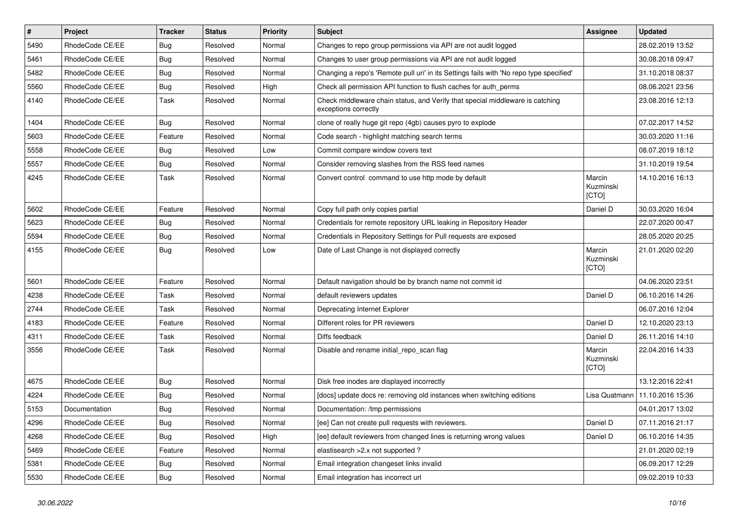| $\vert$ # | Project         | <b>Tracker</b> | <b>Status</b> | <b>Priority</b> | Subject                                                                                               | Assignee                     | <b>Updated</b>   |
|-----------|-----------------|----------------|---------------|-----------------|-------------------------------------------------------------------------------------------------------|------------------------------|------------------|
| 5490      | RhodeCode CE/EE | <b>Bug</b>     | Resolved      | Normal          | Changes to repo group permissions via API are not audit logged                                        |                              | 28.02.2019 13:52 |
| 5461      | RhodeCode CE/EE | Bug            | Resolved      | Normal          | Changes to user group permissions via API are not audit logged                                        |                              | 30.08.2018 09:47 |
| 5482      | RhodeCode CE/EE | Bug            | Resolved      | Normal          | Changing a repo's 'Remote pull uri' in its Settings fails with 'No repo type specified'               |                              | 31.10.2018 08:37 |
| 5560      | RhodeCode CE/EE | <b>Bug</b>     | Resolved      | High            | Check all permission API function to flush caches for auth_perms                                      |                              | 08.06.2021 23:56 |
| 4140      | RhodeCode CE/EE | Task           | Resolved      | Normal          | Check middleware chain status, and Verify that special middleware is catching<br>exceptions correctly |                              | 23.08.2016 12:13 |
| 1404      | RhodeCode CE/EE | Bug            | Resolved      | Normal          | clone of really huge git repo (4gb) causes pyro to explode                                            |                              | 07.02.2017 14:52 |
| 5603      | RhodeCode CE/EE | Feature        | Resolved      | Normal          | Code search - highlight matching search terms                                                         |                              | 30.03.2020 11:16 |
| 5558      | RhodeCode CE/EE | <b>Bug</b>     | Resolved      | Low             | Commit compare window covers text                                                                     |                              | 08.07.2019 18:12 |
| 5557      | RhodeCode CE/EE | <b>Bug</b>     | Resolved      | Normal          | Consider removing slashes from the RSS feed names                                                     |                              | 31.10.2019 19:54 |
| 4245      | RhodeCode CE/EE | Task           | Resolved      | Normal          | Convert control command to use http mode by default                                                   | Marcin<br>Kuzminski<br>[CTO] | 14.10.2016 16:13 |
| 5602      | RhodeCode CE/EE | Feature        | Resolved      | Normal          | Copy full path only copies partial                                                                    | Daniel D                     | 30.03.2020 16:04 |
| 5623      | RhodeCode CE/EE | Bug            | Resolved      | Normal          | Credentials for remote repository URL leaking in Repository Header                                    |                              | 22.07.2020 00:47 |
| 5594      | RhodeCode CE/EE | <b>Bug</b>     | Resolved      | Normal          | Credentials in Repository Settings for Pull requests are exposed                                      |                              | 28.05.2020 20:25 |
| 4155      | RhodeCode CE/EE | Bug            | Resolved      | Low             | Date of Last Change is not displayed correctly                                                        | Marcin<br>Kuzminski<br>[CTO] | 21.01.2020 02:20 |
| 5601      | RhodeCode CE/EE | Feature        | Resolved      | Normal          | Default navigation should be by branch name not commit id                                             |                              | 04.06.2020 23:51 |
| 4238      | RhodeCode CE/EE | Task           | Resolved      | Normal          | default reviewers updates                                                                             | Daniel D                     | 06.10.2016 14:26 |
| 2744      | RhodeCode CE/EE | Task           | Resolved      | Normal          | Deprecating Internet Explorer                                                                         |                              | 06.07.2016 12:04 |
| 4183      | RhodeCode CE/EE | Feature        | Resolved      | Normal          | Different roles for PR reviewers                                                                      | Daniel D                     | 12.10.2020 23:13 |
| 4311      | RhodeCode CE/EE | Task           | Resolved      | Normal          | Diffs feedback                                                                                        | Daniel D                     | 26.11.2016 14:10 |
| 3556      | RhodeCode CE/EE | Task           | Resolved      | Normal          | Disable and rename initial_repo_scan flag                                                             | Marcin<br>Kuzminski<br>[CTO] | 22.04.2016 14:33 |
| 4675      | RhodeCode CE/EE | Bug            | Resolved      | Normal          | Disk free inodes are displayed incorrectly                                                            |                              | 13.12.2016 22:41 |
| 4224      | RhodeCode CE/EE | Bug            | Resolved      | Normal          | [docs] update docs re: removing old instances when switching editions                                 | Lisa Quatmann                | 11.10.2016 15:36 |
| 5153      | Documentation   | <b>Bug</b>     | Resolved      | Normal          | Documentation: /tmp permissions                                                                       |                              | 04.01.2017 13:02 |
| 4296      | RhodeCode CE/EE | <b>Bug</b>     | Resolved      | Normal          | [ee] Can not create pull requests with reviewers.                                                     | Daniel D                     | 07.11.2016 21:17 |
| 4268      | RhodeCode CE/EE | Bug            | Resolved      | High            | [ee] default reviewers from changed lines is returning wrong values                                   | Daniel D                     | 06.10.2016 14:35 |
| 5469      | RhodeCode CE/EE | Feature        | Resolved      | Normal          | elastisearch > 2.x not supported ?                                                                    |                              | 21.01.2020 02:19 |
| 5381      | RhodeCode CE/EE | <b>Bug</b>     | Resolved      | Normal          | Email integration changeset links invalid                                                             |                              | 06.09.2017 12:29 |
| 5530      | RhodeCode CE/EE | Bug            | Resolved      | Normal          | Email integration has incorrect url                                                                   |                              | 09.02.2019 10:33 |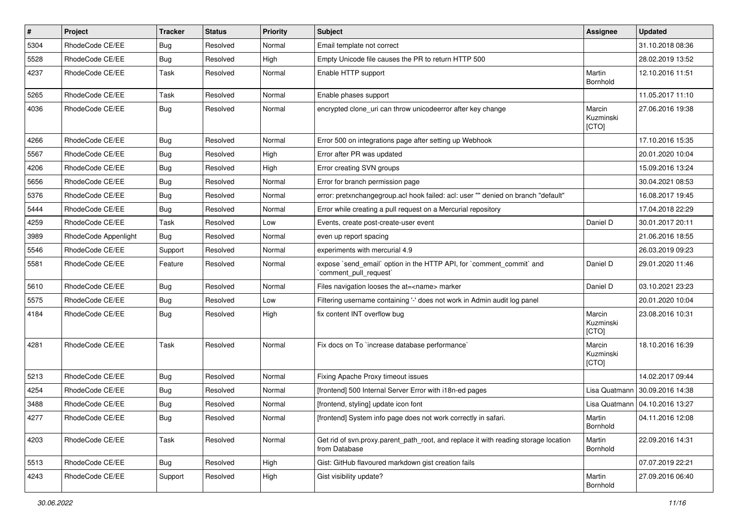| #    | Project              | <b>Tracker</b> | <b>Status</b> | <b>Priority</b> | <b>Subject</b>                                                                                       | Assignee                     | <b>Updated</b>                   |
|------|----------------------|----------------|---------------|-----------------|------------------------------------------------------------------------------------------------------|------------------------------|----------------------------------|
| 5304 | RhodeCode CE/EE      | <b>Bug</b>     | Resolved      | Normal          | Email template not correct                                                                           |                              | 31.10.2018 08:36                 |
| 5528 | RhodeCode CE/EE      | Bug            | Resolved      | High            | Empty Unicode file causes the PR to return HTTP 500                                                  |                              | 28.02.2019 13:52                 |
| 4237 | RhodeCode CE/EE      | Task           | Resolved      | Normal          | Enable HTTP support                                                                                  | Martin<br>Bornhold           | 12.10.2016 11:51                 |
| 5265 | RhodeCode CE/EE      | Task           | Resolved      | Normal          | Enable phases support                                                                                |                              | 11.05.2017 11:10                 |
| 4036 | RhodeCode CE/EE      | Bug            | Resolved      | Normal          | encrypted clone_uri can throw unicodeerror after key change                                          | Marcin<br>Kuzminski<br>[CTO] | 27.06.2016 19:38                 |
| 4266 | RhodeCode CE/EE      | Bug            | Resolved      | Normal          | Error 500 on integrations page after setting up Webhook                                              |                              | 17.10.2016 15:35                 |
| 5567 | RhodeCode CE/EE      | Bug            | Resolved      | High            | Error after PR was updated                                                                           |                              | 20.01.2020 10:04                 |
| 4206 | RhodeCode CE/EE      | Bug            | Resolved      | High            | Error creating SVN groups                                                                            |                              | 15.09.2016 13:24                 |
| 5656 | RhodeCode CE/EE      | Bug            | Resolved      | Normal          | Error for branch permission page                                                                     |                              | 30.04.2021 08:53                 |
| 5376 | RhodeCode CE/EE      | Bug            | Resolved      | Normal          | error: pretxnchangegroup.acl hook failed: acl: user "" denied on branch "default"                    |                              | 16.08.2017 19:45                 |
| 5444 | RhodeCode CE/EE      | Bug            | Resolved      | Normal          | Error while creating a pull request on a Mercurial repository                                        |                              | 17.04.2018 22:29                 |
| 4259 | RhodeCode CE/EE      | Task           | Resolved      | Low             | Events, create post-create-user event                                                                | Daniel D                     | 30.01.2017 20:11                 |
| 3989 | RhodeCode Appenlight | Bug            | Resolved      | Normal          | even up report spacing                                                                               |                              | 21.06.2016 18:55                 |
| 5546 | RhodeCode CE/EE      | Support        | Resolved      | Normal          | experiments with mercurial 4.9                                                                       |                              | 26.03.2019 09:23                 |
| 5581 | RhodeCode CE/EE      | Feature        | Resolved      | Normal          | expose `send_email` option in the HTTP API, for `comment_commit` and<br>`comment_pull_request`       | Daniel D                     | 29.01.2020 11:46                 |
| 5610 | RhodeCode CE/EE      | <b>Bug</b>     | Resolved      | Normal          | Files navigation looses the at= <name> marker</name>                                                 | Daniel D                     | 03.10.2021 23:23                 |
| 5575 | RhodeCode CE/EE      | Bug            | Resolved      | Low             | Filtering username containing '-' does not work in Admin audit log panel                             |                              | 20.01.2020 10:04                 |
| 4184 | RhodeCode CE/EE      | Bug            | Resolved      | High            | fix content INT overflow bug                                                                         | Marcin<br>Kuzminski<br>[CTO] | 23.08.2016 10:31                 |
| 4281 | RhodeCode CE/EE      | Task           | Resolved      | Normal          | Fix docs on To `increase database performance`                                                       | Marcin<br>Kuzminski<br>[CTO] | 18.10.2016 16:39                 |
| 5213 | RhodeCode CE/EE      | Bug            | Resolved      | Normal          | Fixing Apache Proxy timeout issues                                                                   |                              | 14.02.2017 09:44                 |
| 4254 | RhodeCode CE/EE      | Bug            | Resolved      | Normal          | [frontend] 500 Internal Server Error with i18n-ed pages                                              |                              | Lisa Quatmann 30.09.2016 14:38   |
| 3488 | RhodeCode CE/EE      | Bug            | Resolved      | Normal          | [frontend, styling] update icon font                                                                 |                              | Lisa Quatmann   04.10.2016 13:27 |
| 4277 | RhodeCode CE/EE      | <b>Bug</b>     | Resolved      | Normal          | [frontend] System info page does not work correctly in safari.                                       | Martin<br>Bornhold           | 04.11.2016 12:08                 |
| 4203 | RhodeCode CE/EE      | Task           | Resolved      | Normal          | Get rid of svn.proxy.parent_path_root, and replace it with reading storage location<br>from Database | Martin<br>Bornhold           | 22.09.2016 14:31                 |
| 5513 | RhodeCode CE/EE      | Bug            | Resolved      | High            | Gist: GitHub flavoured markdown gist creation fails                                                  |                              | 07.07.2019 22:21                 |
| 4243 | RhodeCode CE/EE      | Support        | Resolved      | High            | Gist visibility update?                                                                              | Martin<br><b>Bornhold</b>    | 27.09.2016 06:40                 |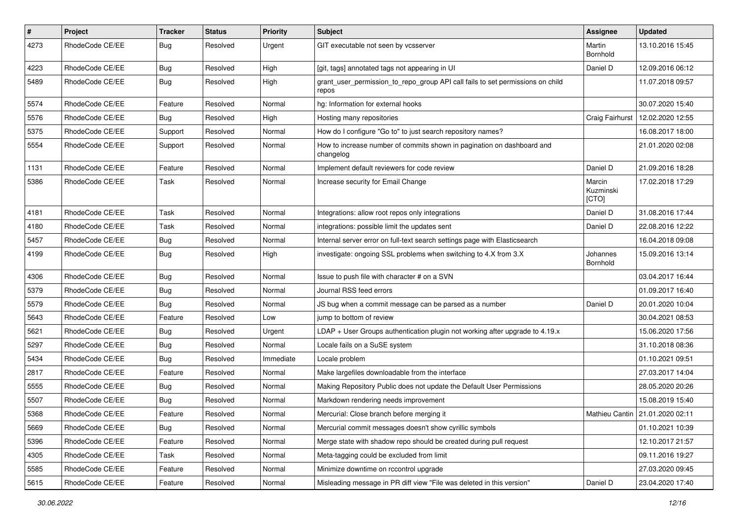| $\vert$ # | Project         | Tracker    | <b>Status</b> | <b>Priority</b> | <b>Subject</b>                                                                          | Assignee                     | <b>Updated</b>                    |
|-----------|-----------------|------------|---------------|-----------------|-----------------------------------------------------------------------------------------|------------------------------|-----------------------------------|
| 4273      | RhodeCode CE/EE | <b>Bug</b> | Resolved      | Urgent          | GIT executable not seen by vcsserver                                                    | Martin<br>Bornhold           | 13.10.2016 15:45                  |
| 4223      | RhodeCode CE/EE | <b>Bug</b> | Resolved      | High            | [git, tags] annotated tags not appearing in UI                                          | Daniel D                     | 12.09.2016 06:12                  |
| 5489      | RhodeCode CE/EE | Bug        | Resolved      | High            | grant_user_permission_to_repo_group API call fails to set permissions on child<br>repos |                              | 11.07.2018 09:57                  |
| 5574      | RhodeCode CE/EE | Feature    | Resolved      | Normal          | hg: Information for external hooks                                                      |                              | 30.07.2020 15:40                  |
| 5576      | RhodeCode CE/EE | <b>Bug</b> | Resolved      | High            | Hosting many repositories                                                               | Craig Fairhurst              | 12.02.2020 12:55                  |
| 5375      | RhodeCode CE/EE | Support    | Resolved      | Normal          | How do I configure "Go to" to just search repository names?                             |                              | 16.08.2017 18:00                  |
| 5554      | RhodeCode CE/EE | Support    | Resolved      | Normal          | How to increase number of commits shown in pagination on dashboard and<br>changelog     |                              | 21.01.2020 02:08                  |
| 1131      | RhodeCode CE/EE | Feature    | Resolved      | Normal          | Implement default reviewers for code review                                             | Daniel D                     | 21.09.2016 18:28                  |
| 5386      | RhodeCode CE/EE | Task       | Resolved      | Normal          | Increase security for Email Change                                                      | Marcin<br>Kuzminski<br>[CTO] | 17.02.2018 17:29                  |
| 4181      | RhodeCode CE/EE | Task       | Resolved      | Normal          | Integrations: allow root repos only integrations                                        | Daniel D                     | 31.08.2016 17:44                  |
| 4180      | RhodeCode CE/EE | Task       | Resolved      | Normal          | integrations: possible limit the updates sent                                           | Daniel D                     | 22.08.2016 12:22                  |
| 5457      | RhodeCode CE/EE | Bug        | Resolved      | Normal          | Internal server error on full-text search settings page with Elasticsearch              |                              | 16.04.2018 09:08                  |
| 4199      | RhodeCode CE/EE | Bug        | Resolved      | High            | investigate: ongoing SSL problems when switching to 4.X from 3.X                        | Johannes<br>Bornhold         | 15.09.2016 13:14                  |
| 4306      | RhodeCode CE/EE | Bug        | Resolved      | Normal          | Issue to push file with character # on a SVN                                            |                              | 03.04.2017 16:44                  |
| 5379      | RhodeCode CE/EE | <b>Bug</b> | Resolved      | Normal          | Journal RSS feed errors                                                                 |                              | 01.09.2017 16:40                  |
| 5579      | RhodeCode CE/EE | <b>Bug</b> | Resolved      | Normal          | JS bug when a commit message can be parsed as a number                                  | Daniel D                     | 20.01.2020 10:04                  |
| 5643      | RhodeCode CE/EE | Feature    | Resolved      | Low             | jump to bottom of review                                                                |                              | 30.04.2021 08:53                  |
| 5621      | RhodeCode CE/EE | Bug        | Resolved      | Urgent          | LDAP + User Groups authentication plugin not working after upgrade to $4.19.x$          |                              | 15.06.2020 17:56                  |
| 5297      | RhodeCode CE/EE | <b>Bug</b> | Resolved      | Normal          | Locale fails on a SuSE system                                                           |                              | 31.10.2018 08:36                  |
| 5434      | RhodeCode CE/EE | Bug        | Resolved      | Immediate       | Locale problem                                                                          |                              | 01.10.2021 09:51                  |
| 2817      | RhodeCode CE/EE | Feature    | Resolved      | Normal          | Make largefiles downloadable from the interface                                         |                              | 27.03.2017 14:04                  |
| 5555      | RhodeCode CE/EE | Bug        | Resolved      | Normal          | Making Repository Public does not update the Default User Permissions                   |                              | 28.05.2020 20:26                  |
| 5507      | RhodeCode CE/EE | Bug        | Resolved      | Normal          | Markdown rendering needs improvement                                                    |                              | 15.08.2019 15:40                  |
| 5368      | RhodeCode CE/EE | Feature    | Resolved      | Normal          | Mercurial: Close branch before merging it                                               |                              | Mathieu Cantin   21.01.2020 02:11 |
| 5669      | RhodeCode CE/EE | Bug        | Resolved      | Normal          | Mercurial commit messages doesn't show cyrillic symbols                                 |                              | 01.10.2021 10:39                  |
| 5396      | RhodeCode CE/EE | Feature    | Resolved      | Normal          | Merge state with shadow repo should be created during pull request                      |                              | 12.10.2017 21:57                  |
| 4305      | RhodeCode CE/EE | Task       | Resolved      | Normal          | Meta-tagging could be excluded from limit                                               |                              | 09.11.2016 19:27                  |
| 5585      | RhodeCode CE/EE | Feature    | Resolved      | Normal          | Minimize downtime on rccontrol upgrade                                                  |                              | 27.03.2020 09:45                  |
| 5615      | RhodeCode CE/EE | Feature    | Resolved      | Normal          | Misleading message in PR diff view "File was deleted in this version"                   | Daniel D                     | 23.04.2020 17:40                  |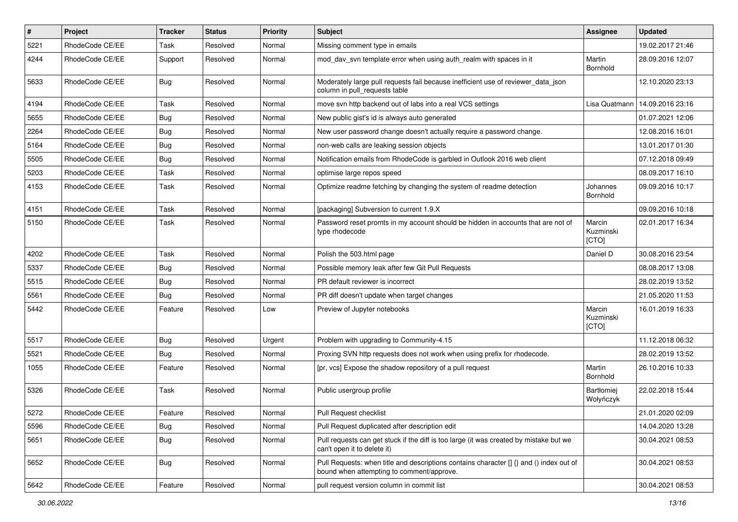| $\sharp$ | Project         | <b>Tracker</b> | <b>Status</b> | <b>Priority</b> | Subject                                                                                                                              | Assignee                     | <b>Updated</b>   |
|----------|-----------------|----------------|---------------|-----------------|--------------------------------------------------------------------------------------------------------------------------------------|------------------------------|------------------|
| 5221     | RhodeCode CE/EE | Task           | Resolved      | Normal          | Missing comment type in emails                                                                                                       |                              | 19.02.2017 21:46 |
| 4244     | RhodeCode CE/EE | Support        | Resolved      | Normal          | mod_dav_svn template error when using auth_realm with spaces in it                                                                   | Martin<br>Bornhold           | 28.09.2016 12:07 |
| 5633     | RhodeCode CE/EE | Bug            | Resolved      | Normal          | Moderately large pull requests fail because inefficient use of reviewer_data_json<br>column in pull requests table                   |                              | 12.10.2020 23:13 |
| 4194     | RhodeCode CE/EE | Task           | Resolved      | Normal          | move svn http backend out of labs into a real VCS settings                                                                           | Lisa Quatmann                | 14.09.2016 23:16 |
| 5655     | RhodeCode CE/EE | <b>Bug</b>     | Resolved      | Normal          | New public gist's id is always auto generated                                                                                        |                              | 01.07.2021 12:06 |
| 2264     | RhodeCode CE/EE | <b>Bug</b>     | Resolved      | Normal          | New user password change doesn't actually require a password change.                                                                 |                              | 12.08.2016 16:01 |
| 5164     | RhodeCode CE/EE | <b>Bug</b>     | Resolved      | Normal          | non-web calls are leaking session objects                                                                                            |                              | 13.01.2017 01:30 |
| 5505     | RhodeCode CE/EE | <b>Bug</b>     | Resolved      | Normal          | Notification emails from RhodeCode is garbled in Outlook 2016 web client                                                             |                              | 07.12.2018 09:49 |
| 5203     | RhodeCode CE/EE | Task           | Resolved      | Normal          | optimise large repos speed                                                                                                           |                              | 08.09.2017 16:10 |
| 4153     | RhodeCode CE/EE | Task           | Resolved      | Normal          | Optimize readme fetching by changing the system of readme detection                                                                  | Johannes<br>Bornhold         | 09.09.2016 10:17 |
| 4151     | RhodeCode CE/EE | Task           | Resolved      | Normal          | [packaging] Subversion to current 1.9.X                                                                                              |                              | 09.09.2016 10:18 |
| 5150     | RhodeCode CE/EE | Task           | Resolved      | Normal          | Password reset promts in my account should be hidden in accounts that are not of<br>type rhodecode                                   | Marcin<br>Kuzminski<br>[CTO] | 02.01.2017 16:34 |
| 4202     | RhodeCode CE/EE | Task           | Resolved      | Normal          | Polish the 503.html page                                                                                                             | Daniel D                     | 30.08.2016 23:54 |
| 5337     | RhodeCode CE/EE | Bug            | Resolved      | Normal          | Possible memory leak after few Git Pull Requests                                                                                     |                              | 08.08.2017 13:08 |
| 5515     | RhodeCode CE/EE | <b>Bug</b>     | Resolved      | Normal          | PR default reviewer is incorrect                                                                                                     |                              | 28.02.2019 13:52 |
| 5561     | RhodeCode CE/EE | Bug            | Resolved      | Normal          | PR diff doesn't update when target changes                                                                                           |                              | 21.05.2020 11:53 |
| 5442     | RhodeCode CE/EE | Feature        | Resolved      | Low             | Preview of Jupyter notebooks                                                                                                         | Marcin<br>Kuzminski<br>[CTO] | 16.01.2019 16:33 |
| 5517     | RhodeCode CE/EE | <b>Bug</b>     | Resolved      | Urgent          | Problem with upgrading to Community-4.15                                                                                             |                              | 11.12.2018 06:32 |
| 5521     | RhodeCode CE/EE | <b>Bug</b>     | Resolved      | Normal          | Proxing SVN http requests does not work when using prefix for rhodecode.                                                             |                              | 28.02.2019 13:52 |
| 1055     | RhodeCode CE/EE | Feature        | Resolved      | Normal          | [pr, vcs] Expose the shadow repository of a pull request                                                                             | Martin<br>Bornhold           | 26.10.2016 10:33 |
| 5326     | RhodeCode CE/EE | Task           | Resolved      | Normal          | Public usergroup profile                                                                                                             | Bartłomiej<br>Wołyńczyk      | 22.02.2018 15:44 |
| 5272     | RhodeCode CE/EE | Feature        | Resolved      | Normal          | <b>Pull Request checklist</b>                                                                                                        |                              | 21.01.2020 02:09 |
| 5596     | RhodeCode CE/EE | Bug            | Resolved      | Normal          | Pull Request duplicated after description edit                                                                                       |                              | 14.04.2020 13:28 |
| 5651     | RhodeCode CE/EE | <b>Bug</b>     | Resolved      | Normal          | Pull requests can get stuck if the diff is too large (it was created by mistake but we<br>can't open it to delete it)                |                              | 30.04.2021 08:53 |
| 5652     | RhodeCode CE/EE | Bug            | Resolved      | Normal          | Pull Requests: when title and descriptions contains character [] {} and () index out of<br>bound when attempting to comment/approve. |                              | 30.04.2021 08:53 |
| 5642     | RhodeCode CE/EE | Feature        | Resolved      | Normal          | pull request version column in commit list                                                                                           |                              | 30.04.2021 08:53 |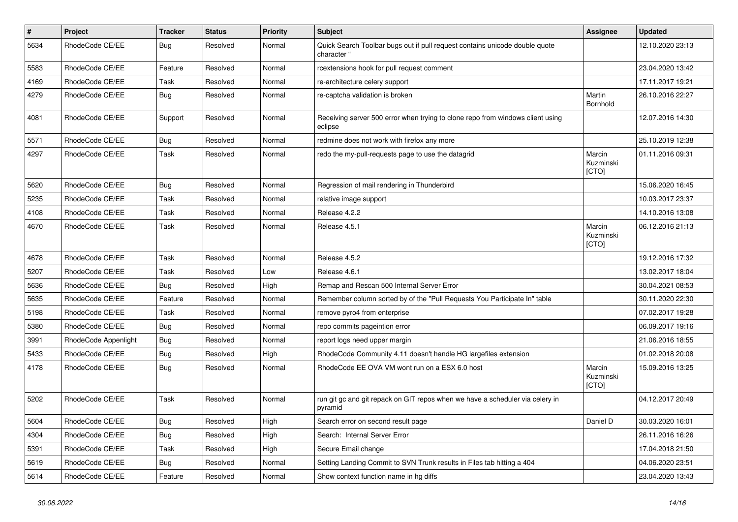| $\vert$ # | <b>Project</b>       | <b>Tracker</b> | <b>Status</b> | <b>Priority</b> | <b>Subject</b>                                                                             | Assignee                     | <b>Updated</b>   |
|-----------|----------------------|----------------|---------------|-----------------|--------------------------------------------------------------------------------------------|------------------------------|------------------|
| 5634      | RhodeCode CE/EE      | Bug            | Resolved      | Normal          | Quick Search Toolbar bugs out if pull request contains unicode double quote<br>character ' |                              | 12.10.2020 23:13 |
| 5583      | RhodeCode CE/EE      | Feature        | Resolved      | Normal          | rcextensions hook for pull request comment                                                 |                              | 23.04.2020 13:42 |
| 4169      | RhodeCode CE/EE      | Task           | Resolved      | Normal          | re-architecture celery support                                                             |                              | 17.11.2017 19:21 |
| 4279      | RhodeCode CE/EE      | Bug            | Resolved      | Normal          | re-captcha validation is broken                                                            | Martin<br>Bornhold           | 26.10.2016 22:27 |
| 4081      | RhodeCode CE/EE      | Support        | Resolved      | Normal          | Receiving server 500 error when trying to clone repo from windows client using<br>eclipse  |                              | 12.07.2016 14:30 |
| 5571      | RhodeCode CE/EE      | <b>Bug</b>     | Resolved      | Normal          | redmine does not work with firefox any more                                                |                              | 25.10.2019 12:38 |
| 4297      | RhodeCode CE/EE      | Task           | Resolved      | Normal          | redo the my-pull-requests page to use the datagrid                                         | Marcin<br>Kuzminski<br>[CTO] | 01.11.2016 09:31 |
| 5620      | RhodeCode CE/EE      | Bug            | Resolved      | Normal          | Regression of mail rendering in Thunderbird                                                |                              | 15.06.2020 16:45 |
| 5235      | RhodeCode CE/EE      | Task           | Resolved      | Normal          | relative image support                                                                     |                              | 10.03.2017 23:37 |
| 4108      | RhodeCode CE/EE      | Task           | Resolved      | Normal          | Release 4.2.2                                                                              |                              | 14.10.2016 13:08 |
| 4670      | RhodeCode CE/EE      | Task           | Resolved      | Normal          | Release 4.5.1                                                                              | Marcin<br>Kuzminski<br>[CTO] | 06.12.2016 21:13 |
| 4678      | RhodeCode CE/EE      | Task           | Resolved      | Normal          | Release 4.5.2                                                                              |                              | 19.12.2016 17:32 |
| 5207      | RhodeCode CE/EE      | Task           | Resolved      | Low             | Release 4.6.1                                                                              |                              | 13.02.2017 18:04 |
| 5636      | RhodeCode CE/EE      | Bug            | Resolved      | High            | Remap and Rescan 500 Internal Server Error                                                 |                              | 30.04.2021 08:53 |
| 5635      | RhodeCode CE/EE      | Feature        | Resolved      | Normal          | Remember column sorted by of the "Pull Requests You Participate In" table                  |                              | 30.11.2020 22:30 |
| 5198      | RhodeCode CE/EE      | Task           | Resolved      | Normal          | remove pyro4 from enterprise                                                               |                              | 07.02.2017 19:28 |
| 5380      | RhodeCode CE/EE      | Bug            | Resolved      | Normal          | repo commits pageintion error                                                              |                              | 06.09.2017 19:16 |
| 3991      | RhodeCode Appenlight | Bug            | Resolved      | Normal          | report logs need upper margin                                                              |                              | 21.06.2016 18:55 |
| 5433      | RhodeCode CE/EE      | <b>Bug</b>     | Resolved      | High            | RhodeCode Community 4.11 doesn't handle HG largefiles extension                            |                              | 01.02.2018 20:08 |
| 4178      | RhodeCode CE/EE      | Bug            | Resolved      | Normal          | RhodeCode EE OVA VM wont run on a ESX 6.0 host                                             | Marcin<br>Kuzminski<br>[CTO] | 15.09.2016 13:25 |
| 5202      | RhodeCode CE/EE      | Task           | Resolved      | Normal          | run git gc and git repack on GIT repos when we have a scheduler via celery in<br>pyramid   |                              | 04.12.2017 20:49 |
| 5604      | RhodeCode CE/EE      | <b>Bug</b>     | Resolved      | High            | Search error on second result page                                                         | Daniel D                     | 30.03.2020 16:01 |
| 4304      | RhodeCode CE/EE      | Bug            | Resolved      | High            | Search: Internal Server Error                                                              |                              | 26.11.2016 16:26 |
| 5391      | RhodeCode CE/EE      | Task           | Resolved      | High            | Secure Email change                                                                        |                              | 17.04.2018 21:50 |
| 5619      | RhodeCode CE/EE      | <b>Bug</b>     | Resolved      | Normal          | Setting Landing Commit to SVN Trunk results in Files tab hitting a 404                     |                              | 04.06.2020 23:51 |
| 5614      | RhodeCode CE/EE      | Feature        | Resolved      | Normal          | Show context function name in ha diffs                                                     |                              | 23.04.2020 13:43 |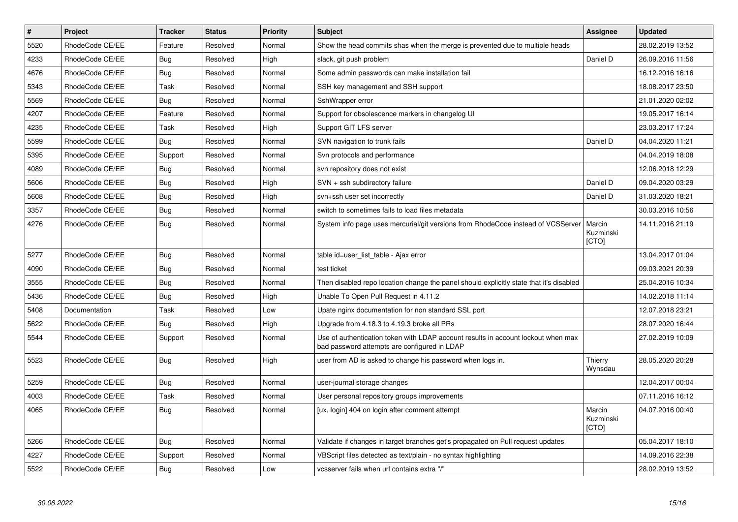| $\vert$ # | Project         | <b>Tracker</b> | <b>Status</b> | <b>Priority</b> | <b>Subject</b>                                                                                                                    | Assignee                     | <b>Updated</b>   |
|-----------|-----------------|----------------|---------------|-----------------|-----------------------------------------------------------------------------------------------------------------------------------|------------------------------|------------------|
| 5520      | RhodeCode CE/EE | Feature        | Resolved      | Normal          | Show the head commits shas when the merge is prevented due to multiple heads                                                      |                              | 28.02.2019 13:52 |
| 4233      | RhodeCode CE/EE | Bug            | Resolved      | High            | slack, git push problem                                                                                                           | Daniel D                     | 26.09.2016 11:56 |
| 4676      | RhodeCode CE/EE | Bug            | Resolved      | Normal          | Some admin passwords can make installation fail                                                                                   |                              | 16.12.2016 16:16 |
| 5343      | RhodeCode CE/EE | Task           | Resolved      | Normal          | SSH key management and SSH support                                                                                                |                              | 18.08.2017 23:50 |
| 5569      | RhodeCode CE/EE | Bug            | Resolved      | Normal          | SshWrapper error                                                                                                                  |                              | 21.01.2020 02:02 |
| 4207      | RhodeCode CE/EE | Feature        | Resolved      | Normal          | Support for obsolescence markers in changelog UI                                                                                  |                              | 19.05.2017 16:14 |
| 4235      | RhodeCode CE/EE | Task           | Resolved      | High            | Support GIT LFS server                                                                                                            |                              | 23.03.2017 17:24 |
| 5599      | RhodeCode CE/EE | Bug            | Resolved      | Normal          | SVN navigation to trunk fails                                                                                                     | Daniel D                     | 04.04.2020 11:21 |
| 5395      | RhodeCode CE/EE | Support        | Resolved      | Normal          | Svn protocols and performance                                                                                                     |                              | 04.04.2019 18:08 |
| 4089      | RhodeCode CE/EE | <b>Bug</b>     | Resolved      | Normal          | svn repository does not exist                                                                                                     |                              | 12.06.2018 12:29 |
| 5606      | RhodeCode CE/EE | <b>Bug</b>     | Resolved      | High            | SVN + ssh subdirectory failure                                                                                                    | Daniel D                     | 09.04.2020 03:29 |
| 5608      | RhodeCode CE/EE | Bug            | Resolved      | High            | svn+ssh user set incorrectly                                                                                                      | Daniel D                     | 31.03.2020 18:21 |
| 3357      | RhodeCode CE/EE | <b>Bug</b>     | Resolved      | Normal          | switch to sometimes fails to load files metadata                                                                                  |                              | 30.03.2016 10:56 |
| 4276      | RhodeCode CE/EE | Bug            | Resolved      | Normal          | System info page uses mercurial/git versions from RhodeCode instead of VCSServer                                                  | Marcin<br>Kuzminski<br>[CTO] | 14.11.2016 21:19 |
| 5277      | RhodeCode CE/EE | Bug            | Resolved      | Normal          | table id=user list table - Ajax error                                                                                             |                              | 13.04.2017 01:04 |
| 4090      | RhodeCode CE/EE | <b>Bug</b>     | Resolved      | Normal          | test ticket                                                                                                                       |                              | 09.03.2021 20:39 |
| 3555      | RhodeCode CE/EE | Bug            | Resolved      | Normal          | Then disabled repo location change the panel should explicitly state that it's disabled                                           |                              | 25.04.2016 10:34 |
| 5436      | RhodeCode CE/EE | Bug            | Resolved      | High            | Unable To Open Pull Request in 4.11.2                                                                                             |                              | 14.02.2018 11:14 |
| 5408      | Documentation   | Task           | Resolved      | Low             | Upate nginx documentation for non standard SSL port                                                                               |                              | 12.07.2018 23:21 |
| 5622      | RhodeCode CE/EE | <b>Bug</b>     | Resolved      | High            | Upgrade from 4.18.3 to 4.19.3 broke all PRs                                                                                       |                              | 28.07.2020 16:44 |
| 5544      | RhodeCode CE/EE | Support        | Resolved      | Normal          | Use of authentication token with LDAP account results in account lockout when max<br>bad password attempts are configured in LDAP |                              | 27.02.2019 10:09 |
| 5523      | RhodeCode CE/EE | Bug            | Resolved      | High            | user from AD is asked to change his password when logs in.                                                                        | Thierry<br>Wynsdau           | 28.05.2020 20:28 |
| 5259      | RhodeCode CE/EE | <b>Bug</b>     | Resolved      | Normal          | user-journal storage changes                                                                                                      |                              | 12.04.2017 00:04 |
| 4003      | RhodeCode CE/EE | Task           | Resolved      | Normal          | User personal repository groups improvements                                                                                      |                              | 07.11.2016 16:12 |
| 4065      | RhodeCode CE/EE | Bug            | Resolved      | Normal          | [ux, login] 404 on login after comment attempt                                                                                    | Marcin<br>Kuzminski<br>[CTO] | 04.07.2016 00:40 |
| 5266      | RhodeCode CE/EE | Bug            | Resolved      | Normal          | Validate if changes in target branches get's propagated on Pull request updates                                                   |                              | 05.04.2017 18:10 |
| 4227      | RhodeCode CE/EE | Support        | Resolved      | Normal          | VBScript files detected as text/plain - no syntax highlighting                                                                    |                              | 14.09.2016 22:38 |
| 5522      | RhodeCode CE/EE | Bug            | Resolved      | Low             | vcsserver fails when url contains extra "/"                                                                                       |                              | 28.02.2019 13:52 |